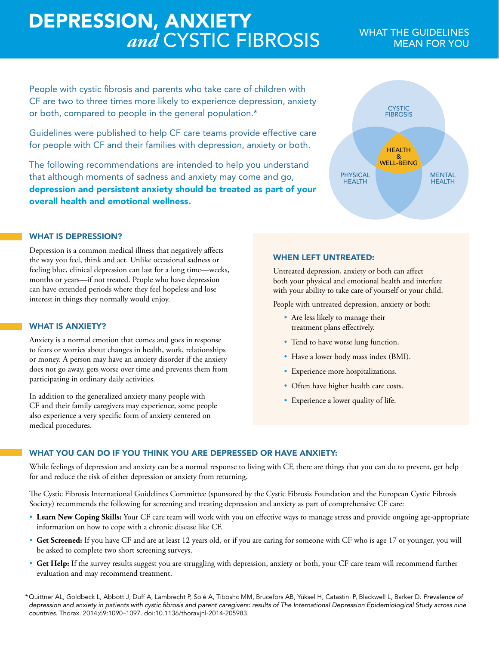# **DEPRESSION, ANXIETY**<br>*and* CYSTIC FIBROSIS WHAT THE GUIDELINES

People with cystic fibrosis and parents who take care of children with CF are two to three times more likely to experience depression, anxiety or both, compared to people in the general population.\*

Guidelines were published to help CF care teams provide effective care for people with CF and their families with depression, anxiety or both.

The following recommendations are intended to help you understand that although moments of sadness and anxiety may come and go, depression and persistent anxiety should be treated as part of your overall health and emotional wellness.

### WHAT IS DEPRESSION?

Depression is a common medical illness that negatively affects the way you feel, think and act. Unlike occasional sadness or feeling blue, clinical depression can last for a long time—weeks, months or years—if not treated. People who have depression can have extended periods where they feel hopeless and lose interest in things they normally would enjoy.

### WHAT IS ANXIETY?

Anxiety is a normal emotion that comes and goes in response to fears or worries about changes in health, work, relationships or money. A person may have an anxiety disorder if the anxiety does not go away, gets worse over time and prevents them from participating in ordinary daily activities.

In addition to the generalized anxiety many people with CF and their family caregivers may experience, some people also experience a very specific form of anxiety centered on medical procedures.

### WHEN LEFT UNTREATED:

Untreated depression, anxiety or both can affect both your physical and emotional health and interfere with your ability to take care of yourself or your child.

People with untreated depression, anxiety or both:

- Are less likely to manage their treatment plans effectively.
- Tend to have worse lung function.
- Have a lower body mass index (BMI).
- Experience more hospitalizations.
- Often have higher health care costs.
- Experience a lower quality of life.

## WHAT YOU CAN DO IF YOU THINK YOU ARE DEPRESSED OR HAVE ANXIETY:

While feelings of depression and anxiety can be a normal response to living with CF, there are things that you can do to prevent, get help for and reduce the risk of either depression or anxiety from returning.

The Cystic Fibrosis International Guidelines Committee (sponsored by the Cystic Fibrosis Foundation and the European Cystic Fibrosis Society) recommends the following for screening and treating depression and anxiety as part of comprehensive CF care:

- **Learn New Coping Skills:** Your CF care team will work with you on effective ways to manage stress and provide ongoing age-appropriate information on how to cope with a chronic disease like CF.
- **Get Screened:** If you have CF and are at least 12 years old, or if you are caring for someone with CF who is age 17 or younger, you will be asked to complete two short screening surveys.
- **Get Help:** If the survey results suggest you are struggling with depression, anxiety or both, your CF care team will recommend further evaluation and may recommend treatment.

\*Quittner AL, Goldbeck L, Abbott J, Duff A, Lambrecht P, Solé A, Tiboshc MM, Brucefors AB, Yüksel H, Catastini P, Blackwell L, Barker D. *Prevalence of*  depression and anxiety in patients with cystic fibrosis and parent caregivers: results of The International Depression Epidemiological Study across nine countries. Thorax. 2014;69:1090–1097. doi:10.1136/thoraxjnl-2014-205983.